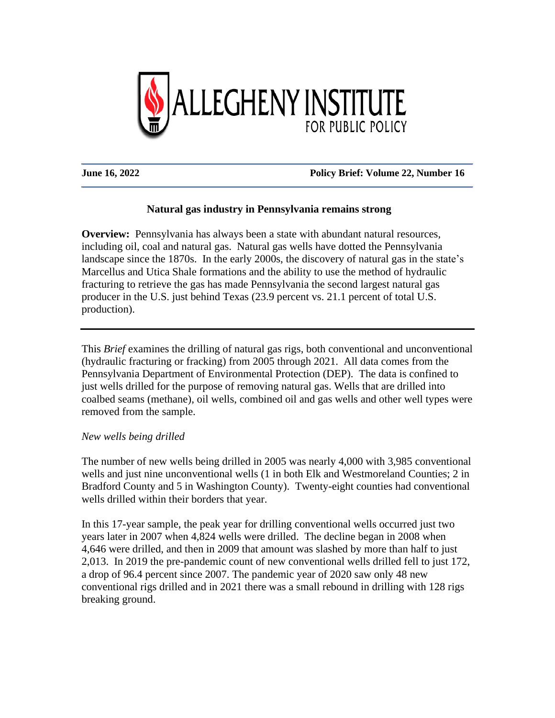

## **June 16, 2022 Policy Brief: Volume 22, Number 16**

# **Natural gas industry in Pennsylvania remains strong**

**Overview:** Pennsylvania has always been a state with abundant natural resources, including oil, coal and natural gas. Natural gas wells have dotted the Pennsylvania landscape since the 1870s. In the early 2000s, the discovery of natural gas in the state's Marcellus and Utica Shale formations and the ability to use the method of hydraulic fracturing to retrieve the gas has made Pennsylvania the second largest natural gas producer in the U.S. just behind Texas (23.9 percent vs. 21.1 percent of total U.S. production).

This *Brief* examines the drilling of natural gas rigs, both conventional and unconventional (hydraulic fracturing or fracking) from 2005 through 2021. All data comes from the Pennsylvania Department of Environmental Protection (DEP). The data is confined to just wells drilled for the purpose of removing natural gas. Wells that are drilled into coalbed seams (methane), oil wells, combined oil and gas wells and other well types were removed from the sample.

#### *New wells being drilled*

The number of new wells being drilled in 2005 was nearly 4,000 with 3,985 conventional wells and just nine unconventional wells (1 in both Elk and Westmoreland Counties; 2 in Bradford County and 5 in Washington County). Twenty-eight counties had conventional wells drilled within their borders that year.

In this 17-year sample, the peak year for drilling conventional wells occurred just two years later in 2007 when 4,824 wells were drilled. The decline began in 2008 when 4,646 were drilled, and then in 2009 that amount was slashed by more than half to just 2,013. In 2019 the pre-pandemic count of new conventional wells drilled fell to just 172, a drop of 96.4 percent since 2007. The pandemic year of 2020 saw only 48 new conventional rigs drilled and in 2021 there was a small rebound in drilling with 128 rigs breaking ground.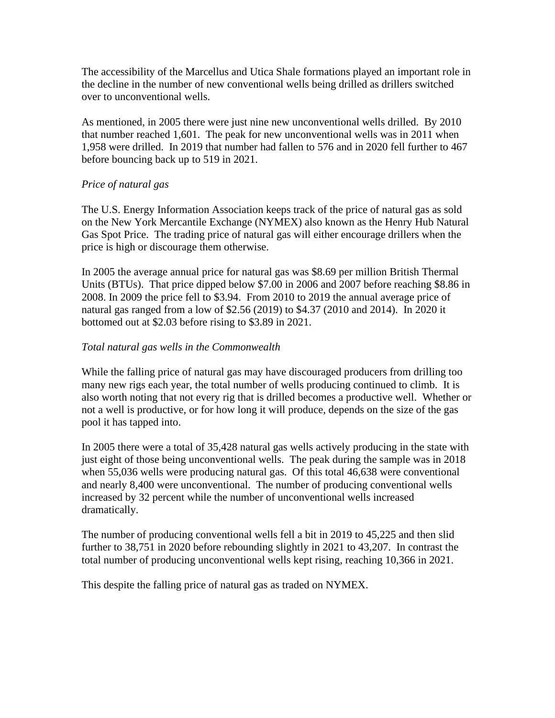The accessibility of the Marcellus and Utica Shale formations played an important role in the decline in the number of new conventional wells being drilled as drillers switched over to unconventional wells.

As mentioned, in 2005 there were just nine new unconventional wells drilled. By 2010 that number reached 1,601. The peak for new unconventional wells was in 2011 when 1,958 were drilled. In 2019 that number had fallen to 576 and in 2020 fell further to 467 before bouncing back up to 519 in 2021.

## *Price of natural gas*

The U.S. Energy Information Association keeps track of the price of natural gas as sold on the New York Mercantile Exchange (NYMEX) also known as the Henry Hub Natural Gas Spot Price. The trading price of natural gas will either encourage drillers when the price is high or discourage them otherwise.

In 2005 the average annual price for natural gas was \$8.69 per million British Thermal Units (BTUs). That price dipped below \$7.00 in 2006 and 2007 before reaching \$8.86 in 2008. In 2009 the price fell to \$3.94. From 2010 to 2019 the annual average price of natural gas ranged from a low of \$2.56 (2019) to \$4.37 (2010 and 2014). In 2020 it bottomed out at \$2.03 before rising to \$3.89 in 2021.

## *Total natural gas wells in the Commonwealth*

While the falling price of natural gas may have discouraged producers from drilling too many new rigs each year, the total number of wells producing continued to climb. It is also worth noting that not every rig that is drilled becomes a productive well. Whether or not a well is productive, or for how long it will produce, depends on the size of the gas pool it has tapped into.

In 2005 there were a total of 35,428 natural gas wells actively producing in the state with just eight of those being unconventional wells. The peak during the sample was in 2018 when 55,036 wells were producing natural gas. Of this total 46,638 were conventional and nearly 8,400 were unconventional. The number of producing conventional wells increased by 32 percent while the number of unconventional wells increased dramatically.

The number of producing conventional wells fell a bit in 2019 to 45,225 and then slid further to 38,751 in 2020 before rebounding slightly in 2021 to 43,207. In contrast the total number of producing unconventional wells kept rising, reaching 10,366 in 2021.

This despite the falling price of natural gas as traded on NYMEX.